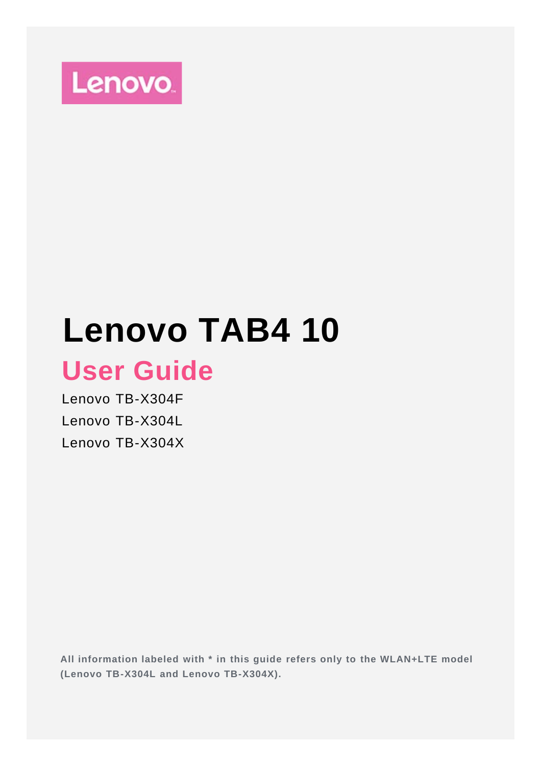

# **Lenovo TAB4 10**

## **User Guide**

Lenovo TB-X304F Lenovo TB-X304L Lenovo TB-X304X

**All information labeled with \* in this guide refers only to the WLAN+LTE model (Lenovo TB-X304L and Lenovo TB-X304X).**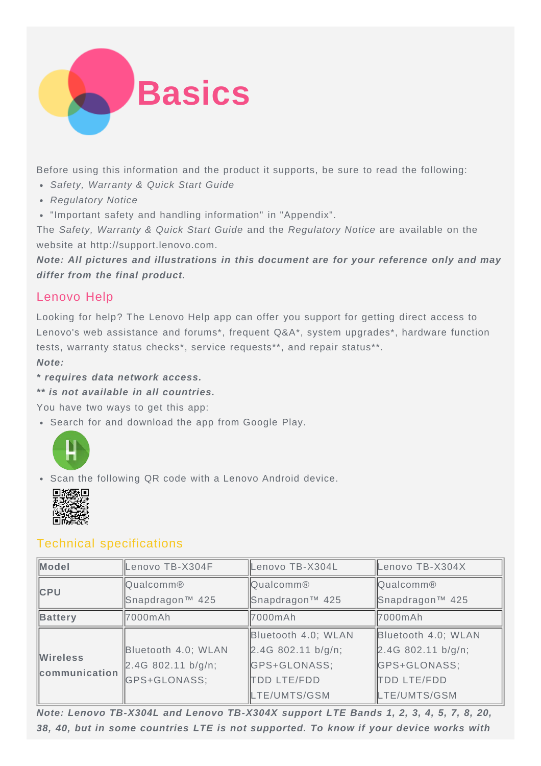

Before using this information and the product it supports, be sure to read the following:

- *Safety, Warranty & Quick Start Guide*
- *Regulatory Notice*
- "Important safety and handling information" in "Appendix".

The *Safety, Warranty & Quick Start Guide* and the *Regulatory Notice* are available on the website at http://support.lenovo.com.

*Note: All pictures and illustrations in this document are for your reference only and may differ from the final product.*

## Lenovo Help

Looking for help? The Lenovo Help app can offer you support for getting direct access to Lenovo's web assistance and forums\*, frequent Q&A\*, system upgrades\*, hardware function tests, warranty status checks\*, service requests\*\*, and repair status\*\*.

*Note:*

- *\* requires data network access.*
- *\*\* is not available in all countries.*

You have two ways to get this app:

Search for and download the app from Google Play.



Scan the following QR code with a Lenovo Android device.



## Technical specifications

| <b>Model</b>       | Lenovo TB-X304F             | Lenovo TB-X304L           | Lenovo TB-X304X           |  |
|--------------------|-----------------------------|---------------------------|---------------------------|--|
| <b>CPU</b>         | Qualcomm®                   | Qualcomm®                 | Qualcomm®                 |  |
|                    | Snapdragon <sup>™</sup> 425 | Snapdragon™ 425           | Snapdragon™ 425           |  |
| Battery            | ll7000mAh                   | 7000mAh                   | 7000mAh                   |  |
|                    |                             | Bluetooth 4.0; WLAN       | Bluetooth 4.0; WLAN       |  |
| <b>Wireless</b>    | Bluetooth 4.0; WLAN         | $ 2.4G \ 802.11 \ b/g/n;$ | $ 2.4G \ 802.11 \ b/g/n;$ |  |
| $\ $ communication | $ 2.4G \, 802.11 \, b/g/n;$ | GPS+GLONASS;              | GPS+GLONASS;              |  |
|                    | GPS+GLONASS;                | <b>TDD LTE/FDD</b>        | <b>TDD LTE/FDD</b>        |  |
|                    |                             | LTE/UMTS/GSM              | LTE/UMTS/GSM              |  |

*Note: Lenovo TB-X304L and Lenovo TB-X304X support LTE Bands 1, 2, 3, 4, 5, 7, 8, 20, 38, 40, but in some countries LTE is not supported. To know if your device works with*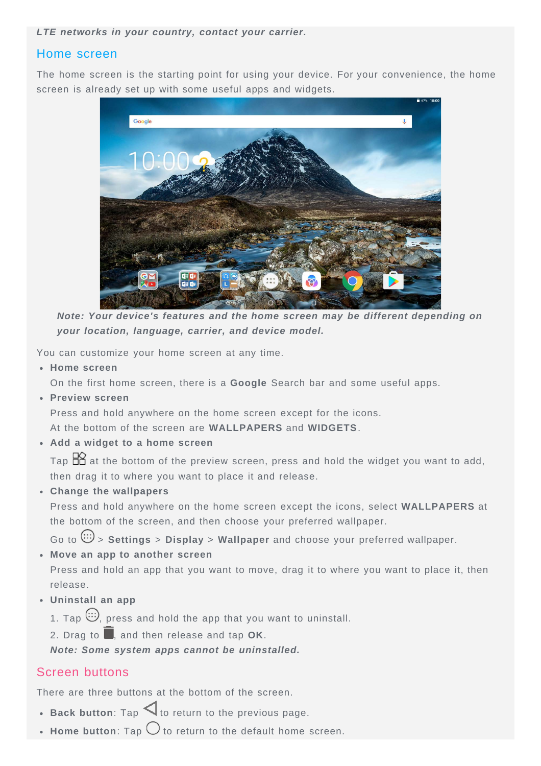*LTE networks in your country, contact your carrier.*

#### Home screen

The home screen is the starting point for using your device. For your convenience, the home screen is already set up with some useful apps and widgets.



*Note: Your device's features and the home screen may be different depending on your location, language, carrier, and device model.*

You can customize your home screen at any time.

**Home screen**

On the first home screen, there is a **Google** Search bar and some useful apps.

**Preview screen**

Press and hold anywhere on the home screen except for the icons. At the bottom of the screen are **WALLPAPERS** and **WIDGETS**.

**Add a widget to a home screen**

Tap  $\Box$  at the bottom of the preview screen, press and hold the widget you want to add, then drag it to where you want to place it and release.

**Change the wallpapers**

Press and hold anywhere on the home screen except the icons, select **WALLPAPERS** at the bottom of the screen, and then choose your preferred wallpaper.

Go to  $\left(\cdots\right)$  > **Settings** > **Display** > **Wallpaper** and choose your preferred wallpaper.

**Move an app to another screen**

Press and hold an app that you want to move, drag it to where you want to place it, then release.

- **Uninstall an app**
	- 1. Tap  $\bigoplus$ , press and hold the app that you want to uninstall.
	- 2. Drag to , and then release and tap **OK**.

*Note: Some system apps cannot be uninstalled.* 

## Screen buttons

There are three buttons at the bottom of the screen.

- $\cdot$  **Back button**: Tap  $\triangleleft$  to return to the previous page.
- Home button: Tap  $\bigcirc$  to return to the default home screen.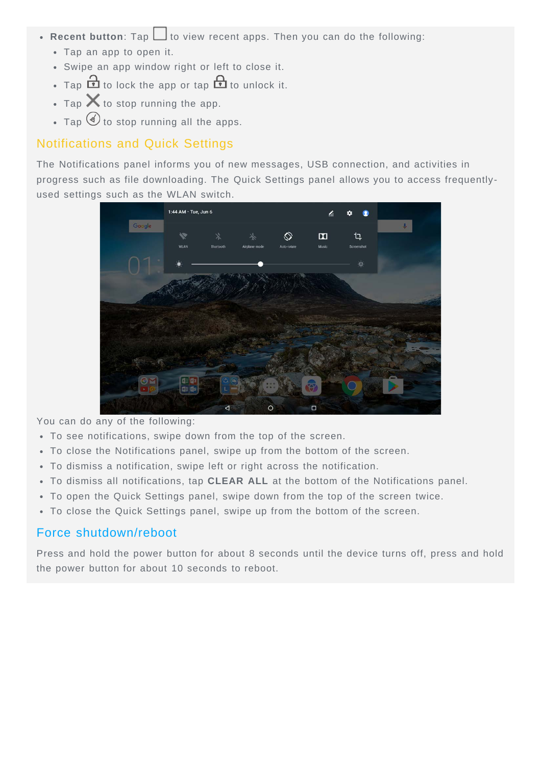- **Recent button**: Tap  $\Box$  to view recent apps. Then you can do the following:
	- Tap an app to open it.
	- Swipe an app window right or left to close it.
	- Tap  $\mathbf{\hat{a}}$  to lock the app or tap  $\mathbf{\hat{b}}$  to unlock it.
	- Tap  $\times$  to stop running the app.
	- Tap  $\textcircled{3}$  to stop running all the apps.

## Notifications and Quick Settings

The Notifications panel informs you of new messages, USB connection, and activities in progress such as file downloading. The Quick Settings panel allows you to access frequentlyused settings such as the WLAN switch.



You can do any of the following:

- To see notifications, swipe down from the top of the screen.
- To close the Notifications panel, swipe up from the bottom of the screen.
- To dismiss a notification, swipe left or right across the notification.
- To dismiss all notifications, tap **CLEAR ALL** at the bottom of the Notifications panel.
- To open the Quick Settings panel, swipe down from the top of the screen twice.
- To close the Quick Settings panel, swipe up from the bottom of the screen.

#### Force shutdown/reboot

Press and hold the power button for about 8 seconds until the device turns off, press and hold the power button for about 10 seconds to reboot.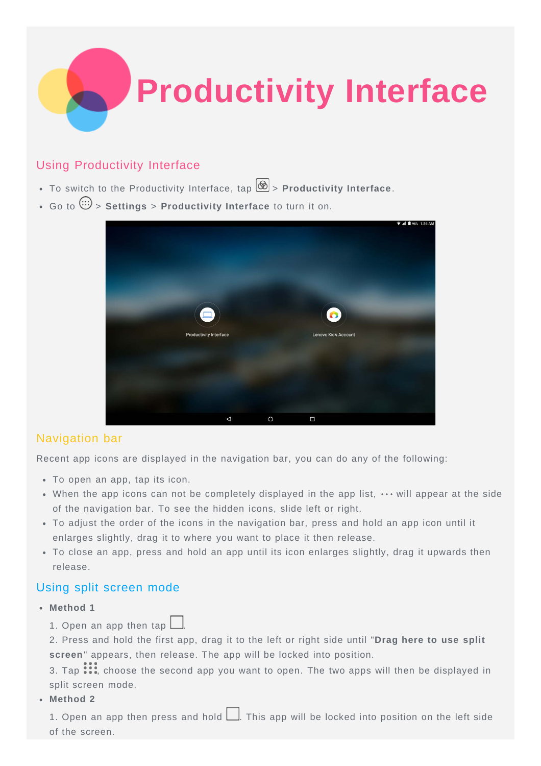

## Using Productivity Interface

- $\cdot$  To switch to the Productivity Interface, tap  $\circledast$  > **Productivity Interface.**
- Go to  $\bigoplus$  > **Settings** > **Productivity Interface** to turn it on.



## Navigation bar

Recent app icons are displayed in the navigation bar, you can do any of the following:

- To open an app, tap its icon.
- When the app icons can not be completely displayed in the app list,  $\cdots$  will appear at the side of the navigation bar. To see the hidden icons, slide left or right.
- To adjust the order of the icons in the navigation bar, press and hold an app icon until it enlarges slightly, drag it to where you want to place it then release.
- To close an app, press and hold an app until its icon enlarges slightly, drag it upwards then release.

#### Using split screen mode

#### **Method 1**

1. Open an app then tap  $\Box$ 

2. Press and hold the first app, drag it to the left or right side until "**Drag here to use split screen**" appears, then release. The app will be locked into position.

3. Tap ::: choose the second app you want to open. The two apps will then be displayed in split screen mode.

**Method 2**

1. Open an app then press and hold  $\Box$  This app will be locked into position on the left side of the screen.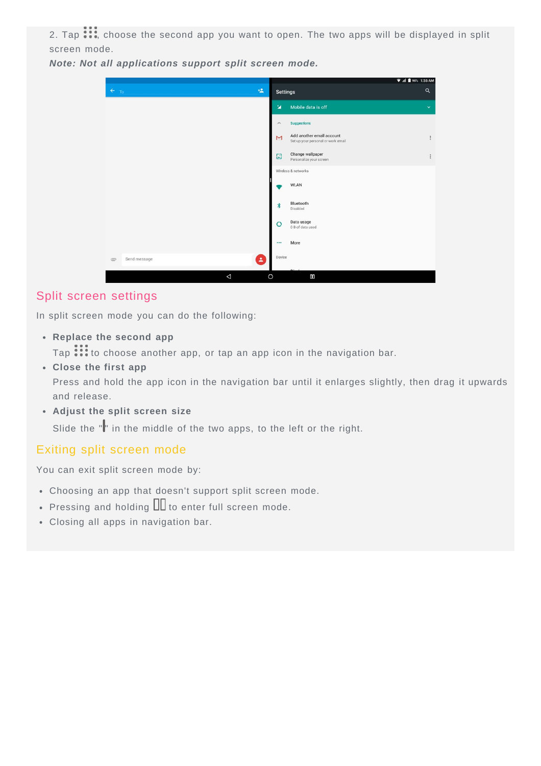2. Tap ..., choose the second app you want to open. The two apps will be displayed in split screen mode.

*Note: Not all applications support split screen mode.*



## Split screen settings

In split screen mode you can do the following:

**Replace the second app**

Tap ::: to choose another app, or tap an app icon in the navigation bar.

**Close the first app**

Press and hold the app icon in the navigation bar until it enlarges slightly, then drag it upwards and release.

**Adjust the split screen size**

Slide the  $\mathbb{T}$  in the middle of the two apps, to the left or the right.

## Exiting split screen mode

You can exit split screen mode by:

- Choosing an app that doesn't support split screen mode.
- Pressing and holding  $\mathbb{II}$  to enter full screen mode.
- Closing all apps in navigation bar.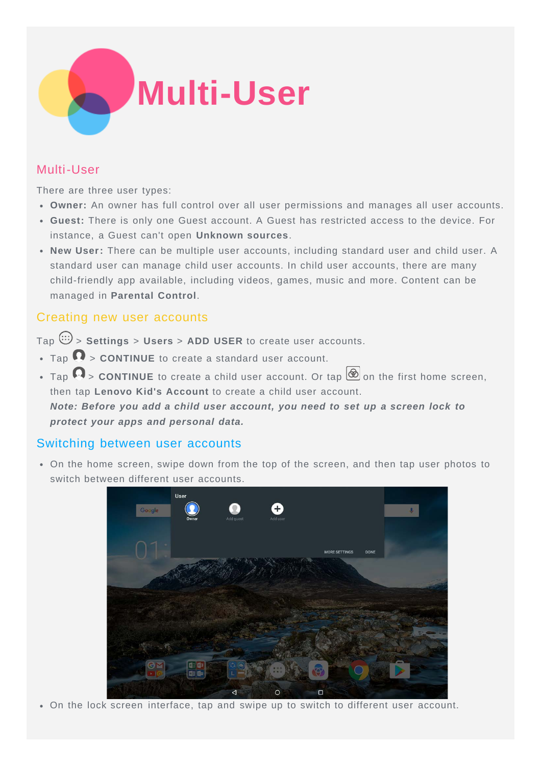

## Multi-User

There are three user types:

- **Owner:** An owner has full control over all user permissions and manages all user accounts.
- **Guest:** There is only one Guest account. A Guest has restricted access to the device. For instance, a Guest can't open **Unknown sources**.
- **New User:** There can be multiple user accounts, including standard user and child user. A standard user can manage child user accounts. In child user accounts, there are many child-friendly app available, including videos, games, music and more. Content can be managed in **Parental Control**.

## Creating new user accounts

 $Tap \nightharpoonup$  > **Settings** > Users > ADD USER to create user accounts.

- $\cdot$  Tap  $\Omega$  > CONTINUE to create a standard user account.
- Tap  $\Omega$  > CONTINUE to create a child user account. Or tap  $\circledast$  on the first home screen, then tap **Lenovo Kid's Account** to create a child user account. *Note: Before you add a child user account, you need to set up a screen lock to protect your apps and personal data.*

## Switching between user accounts

On the home screen, swipe down from the top of the screen, and then tap user photos to switch between different user accounts.



On the lock screen interface, tap and swipe up to switch to different user account.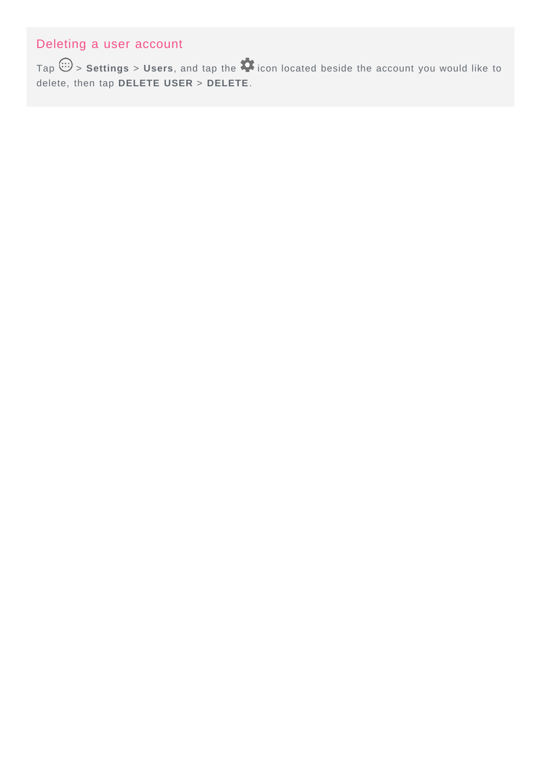## Deleting a user account

Tap  $\circled{::}$  > Settings > Users, and tap the  $\bullet$  icon located beside the account you would like to delete, then tap **DELETE USER** > **DELETE**.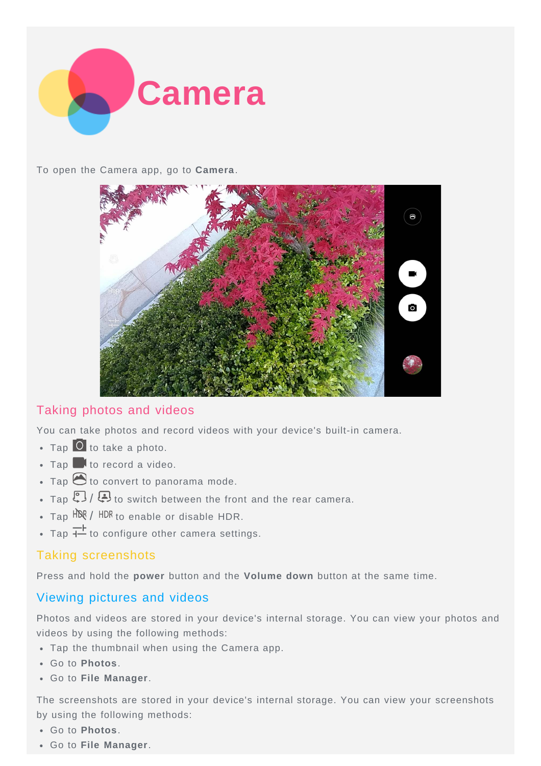

To open the Camera app, go to **Camera**.



## Taking photos and videos

You can take photos and record videos with your device's built-in camera.

- $\bullet$  Tap  $\overline{O}$  to take a photo.
- $\bullet$  Tap  $\blacksquare$  to record a video.
- Tap  $\bigcirc$  to convert to panorama mode.
- Tap  $\mathbb{C}$  /  $\oplus$  to switch between the front and the rear camera.
- . Tap HDR / HDR to enable or disable HDR.
- Tap  $\frac{-1}{1}$  to configure other camera settings.

#### Taking screenshots

Press and hold the **power** button and the **Volume down** button at the same time.

## Viewing pictures and videos

Photos and videos are stored in your device's internal storage. You can view your photos and videos by using the following methods:

- Tap the thumbnail when using the Camera app.
- Go to **Photos**.
- Go to **File Manager**.

The screenshots are stored in your device's internal storage. You can view your screenshots by using the following methods:

- Go to **Photos**.
- Go to **File Manager**.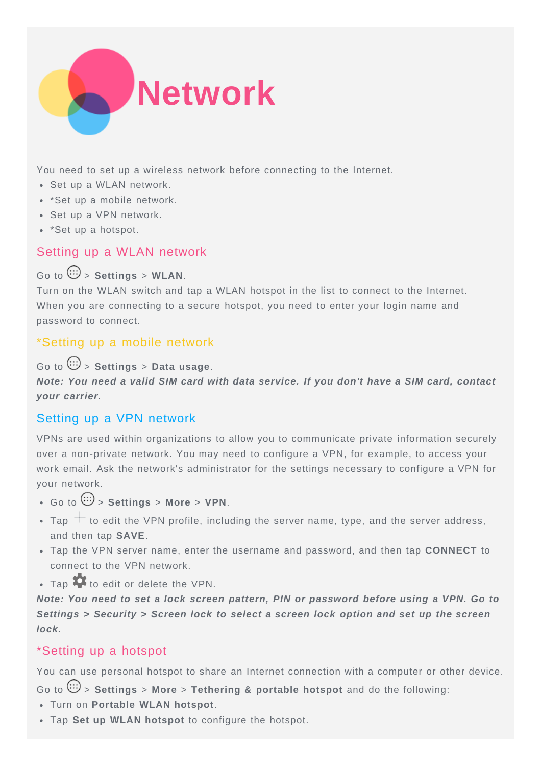

You need to set up a wireless network before connecting to the Internet.

- Set up a WLAN network.
- \*Set up a mobile network.
- Set up a VPN network.
- \*Set up a hotspot.

## Setting up a WLAN network

## $Go to \overset{(1)}{\omega} > Settinas > WLAN.$

Turn on the WLAN switch and tap a WLAN hotspot in the list to connect to the Internet. When you are connecting to a secure hotspot, you need to enter your login name and password to connect.

## \*Setting up a mobile network

## Go to  $\overline{\text{}}$  > Settings > Data usage.

*Note: You need a valid SIM card with data service. If you don't have a SIM card, contact your carrier.*

## Setting up a VPN network

VPNs are used within organizations to allow you to communicate private information securely over a non-private network. You may need to configure a VPN, for example, to access your work email. Ask the network's administrator for the settings necessary to configure a VPN for your network.

- $\cdot$  Go to  $\overset{(...)}{\omega}$  > Settings > More > VPN.
- Tap  $+$  to edit the VPN profile, including the server name, type, and the server address, and then tap **SAVE**.
- Tap the VPN server name, enter the username and password, and then tap **CONNECT** to connect to the VPN network.
- $\bullet$  Tap  $\bullet$  to edit or delete the VPN.

*Note: You need to set a lock screen pattern, PIN or password before using a VPN. Go to Settings > Security > Screen lock to select a screen lock option and set up the screen lock.*

## \*Setting up a hotspot

You can use personal hotspot to share an Internet connection with a computer or other device.

Go to  $\bigoplus$  > Settings > More > Tethering & portable hotspot and do the following:

- Turn on **Portable WLAN hotspot**.
- Tap **Set up WLAN hotspot** to configure the hotspot.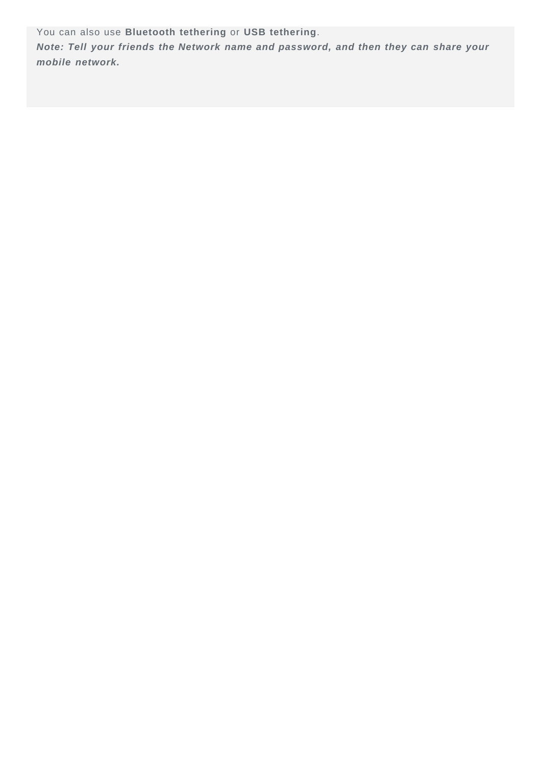You can also use **Bluetooth tethering** or **USB tethering**.

*Note: Tell your friends the Network name and password, and then they can share your mobile network.*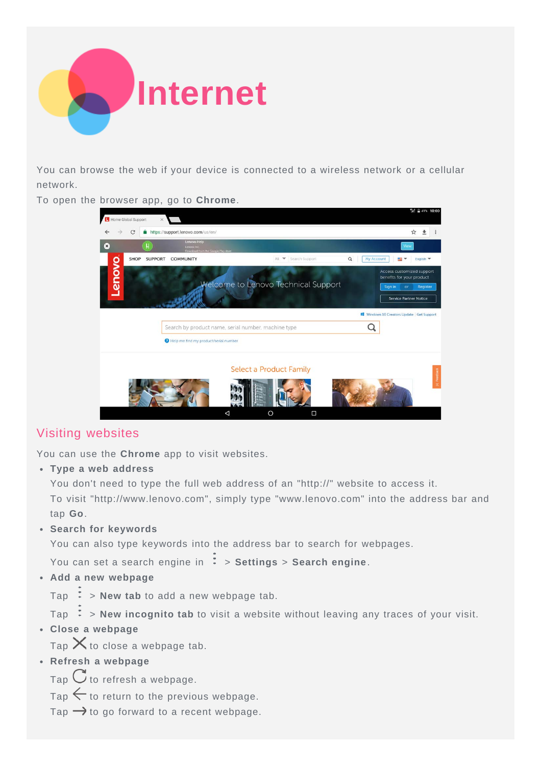

You can browse the web if your device is connected to a wireless network or a cellular network.

To open the browser app, go to **Chrome**.

| Lenovo |                                       |                                                     |                                     | Access customized support                                                                |
|--------|---------------------------------------|-----------------------------------------------------|-------------------------------------|------------------------------------------------------------------------------------------|
|        |                                       |                                                     | Welcome to Lenovo Technical Support | benefits for your product<br>Register<br>Sign in<br>or.<br><b>Service Partner Notice</b> |
|        |                                       |                                                     |                                     | Windows 10 Creators Update   Get Support                                                 |
|        |                                       | Search by product name, serial number, machine type |                                     |                                                                                          |
|        | Help me find my product/serial number |                                                     |                                     |                                                                                          |

## Visiting websites

You can use the **Chrome** app to visit websites.

**Type a web address**

You don't need to type the full web address of an "http://" website to access it. To visit "http://www.lenovo.com", simply type "www.lenovo.com" into the address bar and tap **Go**.

**Search for keywords**

You can also type keywords into the address bar to search for webpages.

You can set a search engine in  $\frac{1}{x}$  > Settings > Search engine.

**Add a new webpage**

Tap  $\div$  > **New tab** to add a new webpage tab.

Tap  $\cdot$  > **New incognito tab** to visit a website without leaving any traces of your visit.

**Close a webpage**

Tap  $\times$  to close a webpage tab.

**Refresh a webpage**

Tap  $\mathbb C$  to refresh a webpage.

 $Tap \leftarrow$  to return to the previous webpage.

Tap  $\rightarrow$  to go forward to a recent webpage.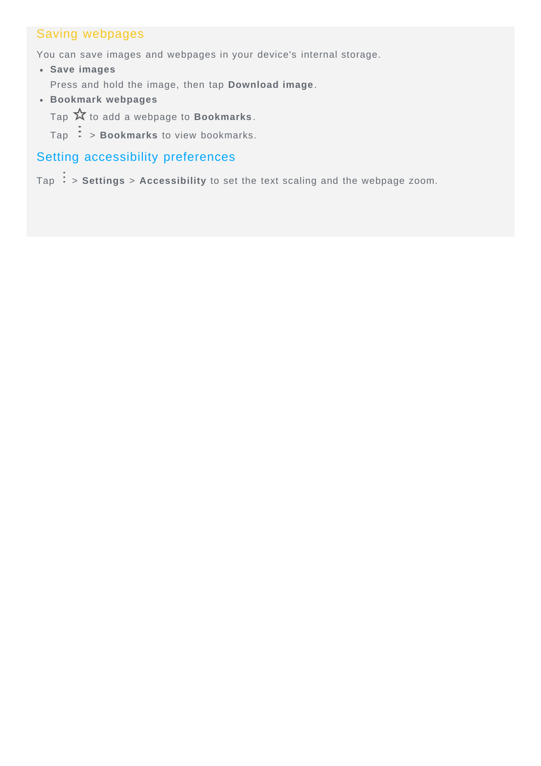## Saving webpages

You can save images and webpages in your device's internal storage.

**Save images**

Press and hold the image, then tap **Download image**.

**Bookmark webpages**

Tap  $\overleftrightarrow{X}$  to add a webpage to **Bookmarks**.

Tap  $\cdot$  > **Bookmarks** to view bookmarks.

## Setting accessibility preferences

Tap  $\frac{1}{x}$  > **Settings** > Accessibility to set the text scaling and the webpage zoom.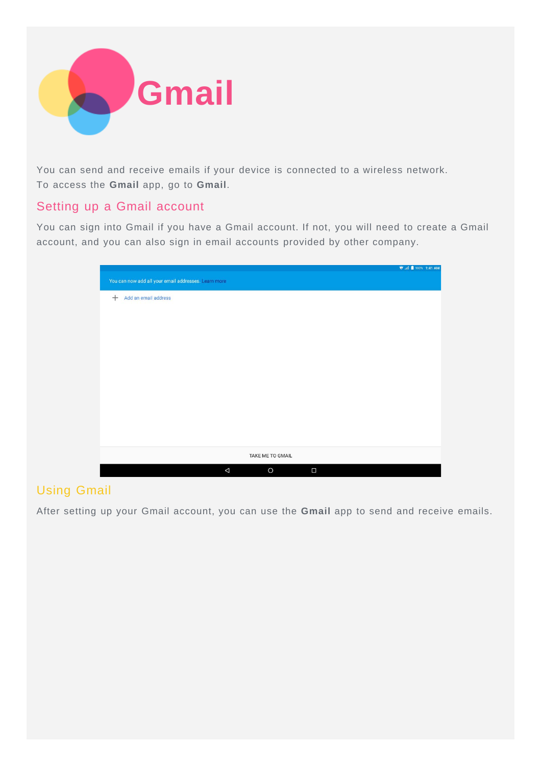

You can send and receive emails if your device is connected to a wireless network. To access the **Gmail** app, go to **Gmail**.

## Setting up a Gmail account

You can sign into Gmail if you have a Gmail account. If not, you will need to create a Gmail account, and you can also sign in email accounts provided by other company.

|                                                      | $\blacktriangledown$ all $\blacksquare$ 100% 1:41 AM |
|------------------------------------------------------|------------------------------------------------------|
| You can now add all your email addresses. Learn more |                                                      |
| Add an email address<br>$^{+}$                       |                                                      |
|                                                      |                                                      |
|                                                      |                                                      |
|                                                      |                                                      |
|                                                      |                                                      |
|                                                      |                                                      |
|                                                      |                                                      |
|                                                      |                                                      |
|                                                      |                                                      |
|                                                      |                                                      |
|                                                      |                                                      |
| TAKE ME TO GMAIL                                     |                                                      |
| $\Delta$<br>$\circ$<br>O                             |                                                      |

## Using Gmail

After setting up your Gmail account, you can use the **Gmail** app to send and receive emails.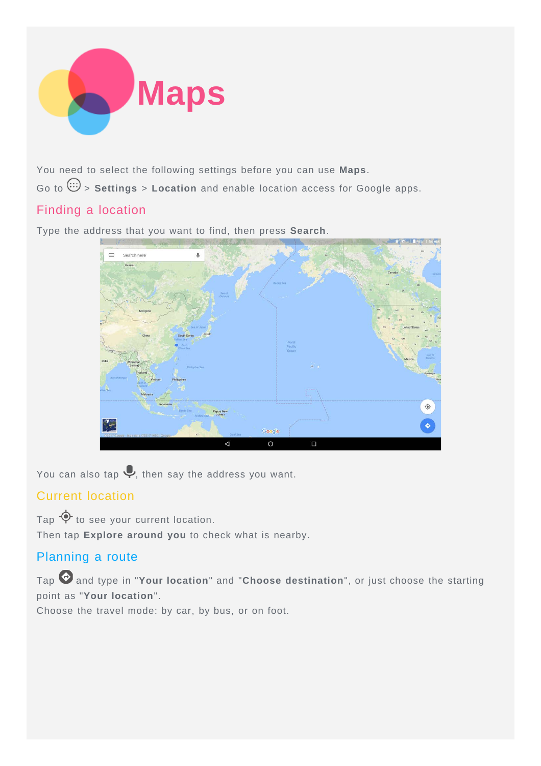

You need to select the following settings before you can use **Maps**. Go to  $\circled{::}\circ$  > Settings > Location and enable location access for Google apps.

## Finding a location

Type the address that you want to find, then press **Search**.



You can also tap  $\blacklozenge$ , then say the address you want.

## Current location

Tap  $\Phi$  to see your current location. Then tap **Explore around you** to check what is nearby.

## Planning a route

Tap **O** and type in "Your location" and "Choose destination", or just choose the starting point as "**Your location**".

Choose the travel mode: by car, by bus, or on foot.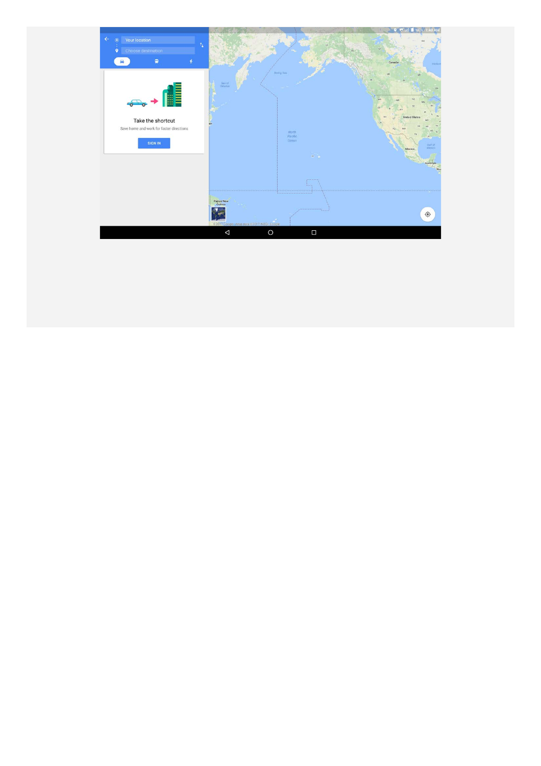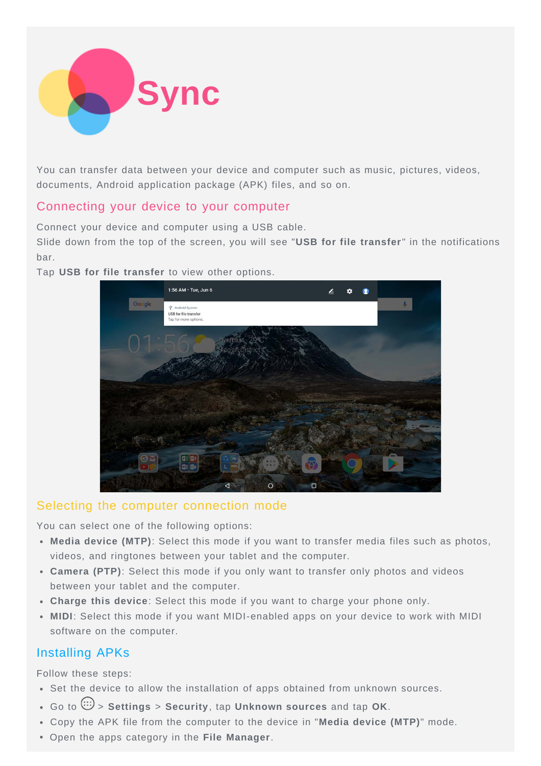

You can transfer data between your device and computer such as music, pictures, videos, documents, Android application package (APK) files, and so on.

## Connecting your device to your computer

Connect your device and computer using a USB cable.

Slide down from the top of the screen, you will see "**USB for file transfer**" in the notifications bar.

Tap **USB for file transfer** to view other options.



## Selecting the computer connection mode

You can select one of the following options:

- **Media device (MTP)**: Select this mode if you want to transfer media files such as photos, videos, and ringtones between your tablet and the computer.
- **Camera (PTP)**: Select this mode if you only want to transfer only photos and videos between your tablet and the computer.
- **Charge this device**: Select this mode if you want to charge your phone only.
- **MIDI**: Select this mode if you want MIDI-enabled apps on your device to work with MIDI software on the computer.

## Installing APKs

Follow these steps:

- Set the device to allow the installation of apps obtained from unknown sources.
- $\cdot$  Go to  $\stackrel{(...)}{\ldots}$  > Settings > Security, tap Unknown sources and tap OK.
- Copy the APK file from the computer to the device in "**Media device (MTP)**" mode.
- Open the apps category in the **File Manager**.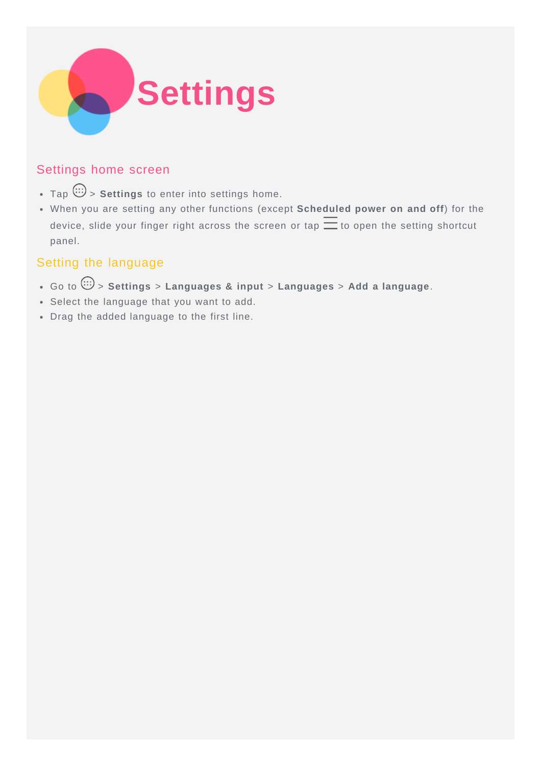

## Settings home screen

- $\cdot$  Tap  $\circled{::}$  > **Settings** to enter into settings home.
- When you are setting any other functions (except **Scheduled power on and off**) for the device, slide your finger right across the screen or tap  $\equiv$  to open the setting shortcut panel.

## Setting the language

- Go to > **Settings** > **Languages & input** > **Languages** > **Add a language**.
- Select the language that you want to add.
- Drag the added language to the first line.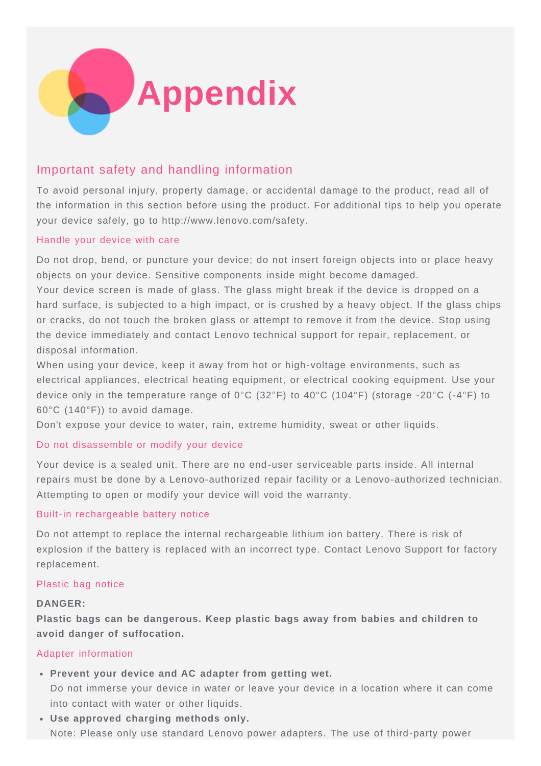

## Important safety and handling information

To avoid personal injury, property damage, or accidental damage to the product, read all of the information in this section before using the product. For additional tips to help you operate your device safely, go to http://www.lenovo.com/safety.

#### Handle your device with care

Do not drop, bend, or puncture your device; do not insert foreign objects into or place heavy objects on your device. Sensitive components inside might become damaged. Your device screen is made of glass. The glass might break if the device is dropped on a

hard surface, is subjected to a high impact, or is crushed by a heavy object. If the glass chips or cracks, do not touch the broken glass or attempt to remove it from the device. Stop using the device immediately and contact Lenovo technical support for repair, replacement, or disposal information.

When using your device, keep it away from hot or high-voltage environments, such as electrical appliances, electrical heating equipment, or electrical cooking equipment. Use your device only in the temperature range of 0°C (32°F) to 40°C (104°F) (storage -20°C (-4°F) to 60°C (140°F)) to avoid damage.

Don't expose your device to water, rain, extreme humidity, sweat or other liquids.

#### Do not disassemble or modify your device

Your device is a sealed unit. There are no end-user serviceable parts inside. All internal repairs must be done by a Lenovo-authorized repair facility or a Lenovo-authorized technician. Attempting to open or modify your device will void the warranty.

#### Built-in rechargeable battery notice

Do not attempt to replace the internal rechargeable lithium ion battery. There is risk of explosion if the battery is replaced with an incorrect type. Contact Lenovo Support for factory replacement.

#### Plastic bag notice

#### **DANGER:**

**Plastic bags can be dangerous. Keep plastic bags away from babies and children to avoid danger of suffocation.**

#### Adapter information

**Prevent your device and AC adapter from getting wet.**

Do not immerse your device in water or leave your device in a location where it can come into contact with water or other liquids.

**Use approved charging methods only.** Note: Please only use standard Lenovo power adapters. The use of third-party power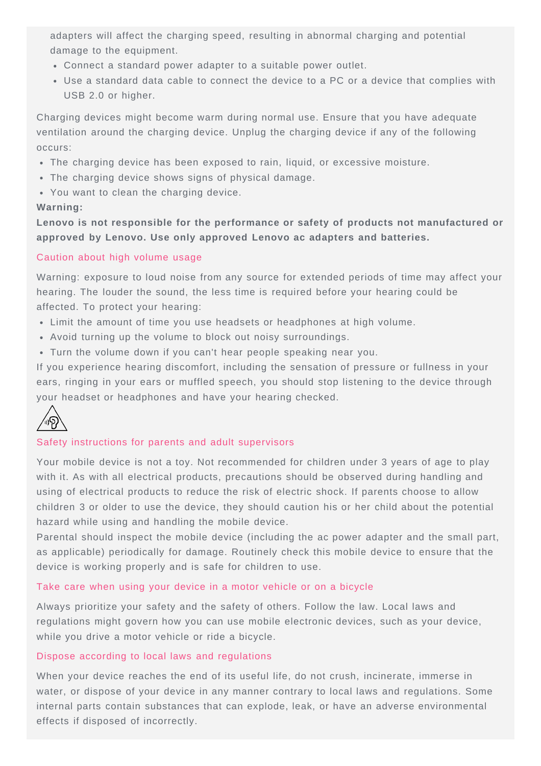adapters will affect the charging speed, resulting in abnormal charging and potential damage to the equipment.

- Connect a standard power adapter to a suitable power outlet.
- Use a standard data cable to connect the device to a PC or a device that complies with USB 2.0 or higher.

Charging devices might become warm during normal use. Ensure that you have adequate ventilation around the charging device. Unplug the charging device if any of the following occurs:

- The charging device has been exposed to rain, liquid, or excessive moisture.
- The charging device shows signs of physical damage.
- You want to clean the charging device.

#### **Warning:**

**Lenovo is not responsible for the performance or safety of products not manufactured or approved by Lenovo. Use only approved Lenovo ac adapters and batteries.**

#### Caution about high volume usage

Warning: exposure to loud noise from any source for extended periods of time may affect your hearing. The louder the sound, the less time is required before your hearing could be affected. To protect your hearing:

- Limit the amount of time you use headsets or headphones at high volume.
- Avoid turning up the volume to block out noisy surroundings.
- Turn the volume down if you can't hear people speaking near you.

If you experience hearing discomfort, including the sensation of pressure or fullness in your ears, ringing in your ears or muffled speech, you should stop listening to the device through your headset or headphones and have your hearing checked.



#### Safety instructions for parents and adult supervisors

Your mobile device is not a toy. Not recommended for children under 3 years of age to play with it. As with all electrical products, precautions should be observed during handling and using of electrical products to reduce the risk of electric shock. If parents choose to allow children 3 or older to use the device, they should caution his or her child about the potential hazard while using and handling the mobile device.

Parental should inspect the mobile device (including the ac power adapter and the small part, as applicable) periodically for damage. Routinely check this mobile device to ensure that the device is working properly and is safe for children to use.

#### Take care when using your device in a motor vehicle or on a bicycle

Always prioritize your safety and the safety of others. Follow the law. Local laws and regulations might govern how you can use mobile electronic devices, such as your device, while you drive a motor vehicle or ride a bicycle.

#### Dispose according to local laws and regulations

When your device reaches the end of its useful life, do not crush, incinerate, immerse in water, or dispose of your device in any manner contrary to local laws and regulations. Some internal parts contain substances that can explode, leak, or have an adverse environmental effects if disposed of incorrectly.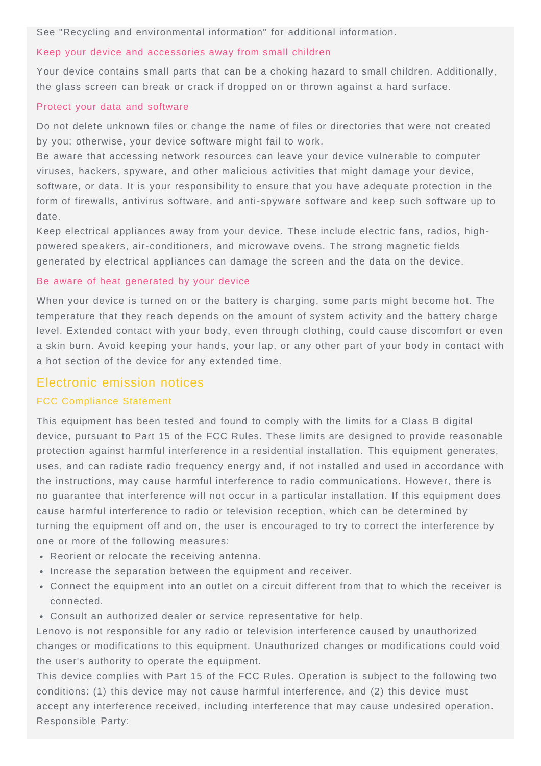See "Recycling and environmental information" for additional information.

#### Keep your device and accessories away from small children

Your device contains small parts that can be a choking hazard to small children. Additionally, the glass screen can break or crack if dropped on or thrown against a hard surface.

#### Protect your data and software

Do not delete unknown files or change the name of files or directories that were not created by you; otherwise, your device software might fail to work.

Be aware that accessing network resources can leave your device vulnerable to computer viruses, hackers, spyware, and other malicious activities that might damage your device, software, or data. It is your responsibility to ensure that you have adequate protection in the form of firewalls, antivirus software, and anti-spyware software and keep such software up to date.

Keep electrical appliances away from your device. These include electric fans, radios, highpowered speakers, air-conditioners, and microwave ovens. The strong magnetic fields generated by electrical appliances can damage the screen and the data on the device.

#### Be aware of heat generated by your device

When your device is turned on or the battery is charging, some parts might become hot. The temperature that they reach depends on the amount of system activity and the battery charge level. Extended contact with your body, even through clothing, could cause discomfort or even a skin burn. Avoid keeping your hands, your lap, or any other part of your body in contact with a hot section of the device for any extended time.

#### Electronic emission notices

#### FCC Compliance Statement

This equipment has been tested and found to comply with the limits for a Class B digital device, pursuant to Part 15 of the FCC Rules. These limits are designed to provide reasonable protection against harmful interference in a residential installation. This equipment generates, uses, and can radiate radio frequency energy and, if not installed and used in accordance with the instructions, may cause harmful interference to radio communications. However, there is no guarantee that interference will not occur in a particular installation. If this equipment does cause harmful interference to radio or television reception, which can be determined by turning the equipment off and on, the user is encouraged to try to correct the interference by one or more of the following measures:

- Reorient or relocate the receiving antenna.
- Increase the separation between the equipment and receiver.
- Connect the equipment into an outlet on a circuit different from that to which the receiver is connected.
- Consult an authorized dealer or service representative for help.

Lenovo is not responsible for any radio or television interference caused by unauthorized changes or modifications to this equipment. Unauthorized changes or modifications could void the user's authority to operate the equipment.

This device complies with Part 15 of the FCC Rules. Operation is subject to the following two conditions: (1) this device may not cause harmful interference, and (2) this device must accept any interference received, including interference that may cause undesired operation. Responsible Party: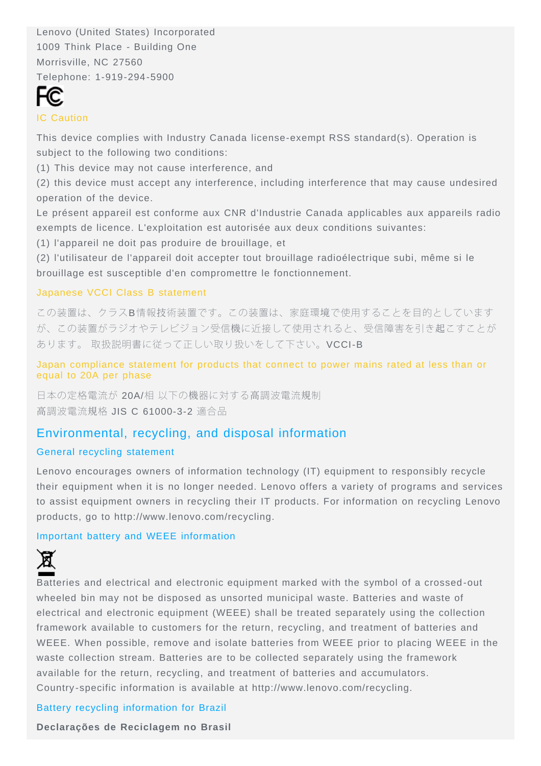Lenovo (United States) Incorporated 1009 Think Place - Building One Morrisville, NC 27560 Telephone: 1-919-294-5900



#### IC Caution

This device complies with Industry Canada license-exempt RSS standard(s). Operation is subject to the following two conditions:

(1) This device may not cause interference, and

(2) this device must accept any interference, including interference that may cause undesired operation of the device.

Le présent appareil est conforme aux CNR d'Industrie Canada applicables aux appareils radio exempts de licence. L'exploitation est autorisée aux deux conditions suivantes:

(1) l'appareil ne doit pas produire de brouillage, et

(2) l'utilisateur de l'appareil doit accepter tout brouillage radioélectrique subi, même si le brouillage est susceptible d'en compromettre le fonctionnement.

#### Japanese VCCI Class B statement

この装置は、クラスB情報技術装置です。この装置は、家庭環境で使用することを目的としています が、この装置がラジオやテレビジョン受信機に近接して使用されると、受信障害を引き起こすことが あります。 取扱説明書に従って正しい取り扱いをして下さい。VCCI-B

Japan compliance statement for products that connect to power mains rated at less than or equal to 20A per phase

日本の定格電流が 20A/相 以下の機器に対する高調波電流規制 高調波電流規格 JIS C 61000-3-2 適合品

## Environmental, recycling, and disposal information

#### General recycling statement

Lenovo encourages owners of information technology (IT) equipment to responsibly recycle their equipment when it is no longer needed. Lenovo offers a variety of programs and services to assist equipment owners in recycling their IT products. For information on recycling Lenovo products, go to http://www.lenovo.com/recycling.

#### Important battery and WEEE information



Batteries and electrical and electronic equipment marked with the symbol of a crossed-out wheeled bin may not be disposed as unsorted municipal waste. Batteries and waste of electrical and electronic equipment (WEEE) shall be treated separately using the collection framework available to customers for the return, recycling, and treatment of batteries and WEEE. When possible, remove and isolate batteries from WEEE prior to placing WEEE in the waste collection stream. Batteries are to be collected separately using the framework available for the return, recycling, and treatment of batteries and accumulators. Country-specific information is available at http://www.lenovo.com/recycling.

#### Battery recycling information for Brazil

**Declarações de Reciclagem no Brasil**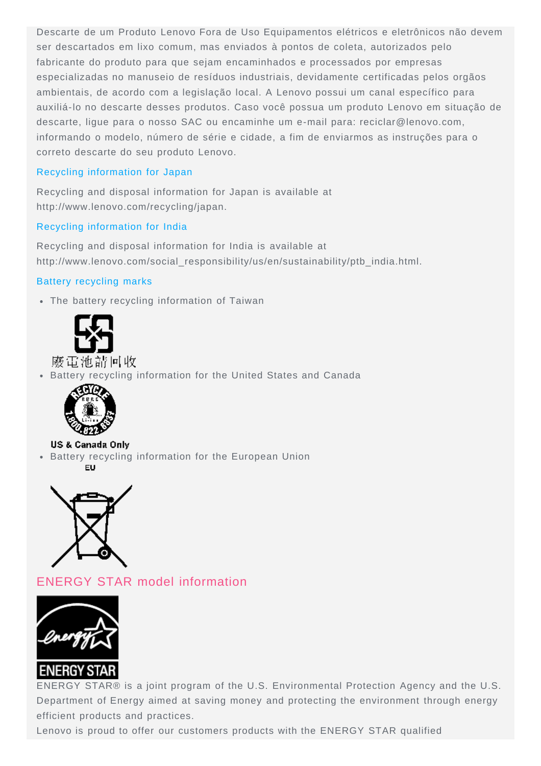Descarte de um Produto Lenovo Fora de Uso Equipamentos elétricos e eletrônicos não devem ser descartados em lixo comum, mas enviados à pontos de coleta, autorizados pelo fabricante do produto para que sejam encaminhados e processados por empresas especializadas no manuseio de resíduos industriais, devidamente certificadas pelos orgãos ambientais, de acordo com a legislação local. A Lenovo possui um canal específico para auxiliá-lo no descarte desses produtos. Caso você possua um produto Lenovo em situação de descarte, ligue para o nosso SAC ou encaminhe um e-mail para: reciclar@lenovo.com, informando o modelo, número de série e cidade, a fim de enviarmos as instruções para o correto descarte do seu produto Lenovo.

#### Recycling information for Japan

Recycling and disposal information for Japan is available at http://www.lenovo.com/recycling/japan.

#### Recycling information for India

Recycling and disposal information for India is available at http://www.lenovo.com/social\_responsibility/us/en/sustainability/ptb\_india.html.

#### Battery recycling marks

The battery recycling information of Taiwan



廢電池請回收

Battery recycling information for the United States and Canada



**US & Canada Only** • Battery recycling information for the European Union **EU** 



## ENERGY STAR model information



ENERGY STAR® is a joint program of the U.S. Environmental Protection Agency and the U.S. Department of Energy aimed at saving money and protecting the environment through energy efficient products and practices.

Lenovo is proud to offer our customers products with the ENERGY STAR qualified